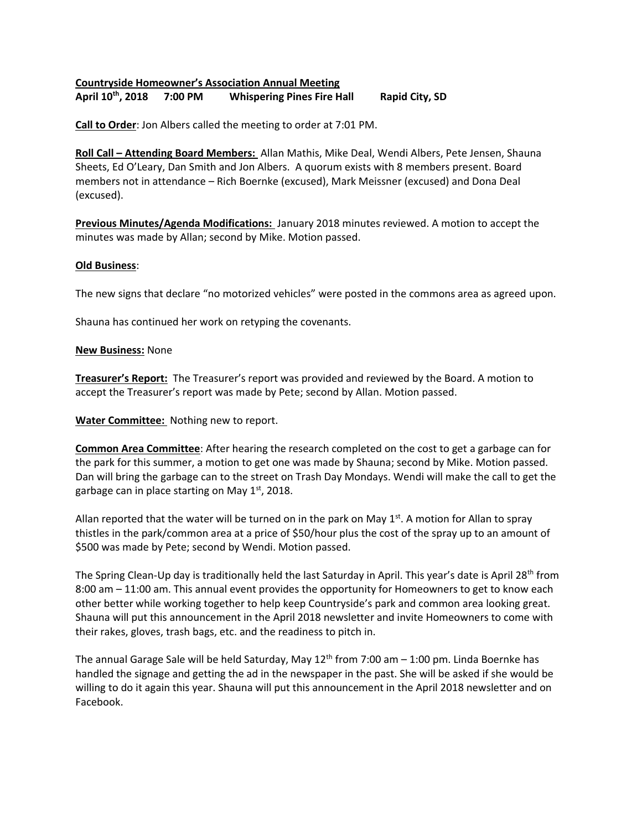## **Countryside Homeowner's Association Annual Meeting April 10th Whispering Pines Fire Hall Rapid City, SD**

**Call to Order**: Jon Albers called the meeting to order at 7:01 PM.

**Roll Call – Attending Board Members:** Allan Mathis, Mike Deal, Wendi Albers, Pete Jensen, Shauna Sheets, Ed O'Leary, Dan Smith and Jon Albers. A quorum exists with 8 members present. Board members not in attendance – Rich Boernke (excused), Mark Meissner (excused) and Dona Deal (excused).

**Previous Minutes/Agenda Modifications:** January 2018 minutes reviewed. A motion to accept the minutes was made by Allan; second by Mike. Motion passed.

## **Old Business**:

The new signs that declare "no motorized vehicles" were posted in the commons area as agreed upon.

Shauna has continued her work on retyping the covenants.

## **New Business:** None

**Treasurer's Report:** The Treasurer's report was provided and reviewed by the Board. A motion to accept the Treasurer's report was made by Pete; second by Allan. Motion passed.

**Water Committee:** Nothing new to report.

**Common Area Committee**: After hearing the research completed on the cost to get a garbage can for the park for this summer, a motion to get one was made by Shauna; second by Mike. Motion passed. Dan will bring the garbage can to the street on Trash Day Mondays. Wendi will make the call to get the garbage can in place starting on May  $1<sup>st</sup>$ , 2018.

Allan reported that the water will be turned on in the park on May  $1<sup>st</sup>$ . A motion for Allan to spray thistles in the park/common area at a price of \$50/hour plus the cost of the spray up to an amount of \$500 was made by Pete; second by Wendi. Motion passed.

The Spring Clean-Up day is traditionally held the last Saturday in April. This year's date is April 28<sup>th</sup> from 8:00 am – 11:00 am. This annual event provides the opportunity for Homeowners to get to know each other better while working together to help keep Countryside's park and common area looking great. Shauna will put this announcement in the April 2018 newsletter and invite Homeowners to come with their rakes, gloves, trash bags, etc. and the readiness to pitch in.

The annual Garage Sale will be held Saturday, May  $12<sup>th</sup>$  from 7:00 am  $-1:00$  pm. Linda Boernke has handled the signage and getting the ad in the newspaper in the past. She will be asked if she would be willing to do it again this year. Shauna will put this announcement in the April 2018 newsletter and on Facebook.